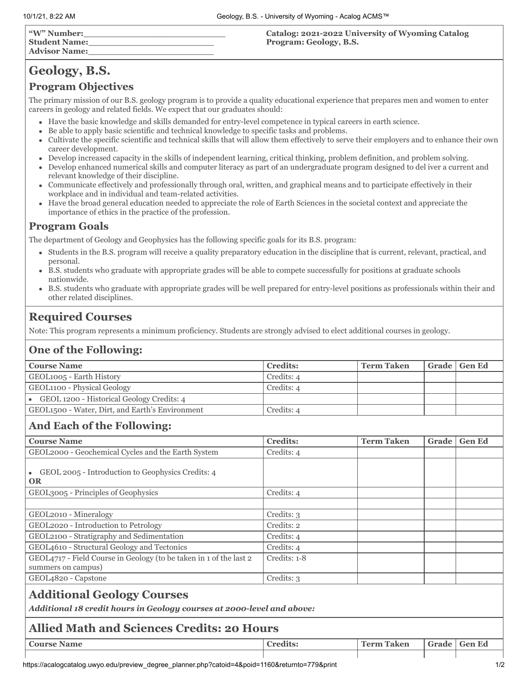| "W" Number:<br><b>Student Name:</b><br><b>Advisor Name:</b> | Catalog: 2021-2022 University of Wyoming Catalog<br>Program: Geology, B.S. |
|-------------------------------------------------------------|----------------------------------------------------------------------------|
|                                                             |                                                                            |

# **Geology, B.S.**

# **Program Objectives**

The primary mission of our B.S. geology program is to provide a quality educational experience that prepares men and women to enter careers in geology and related fields. We expect that our graduates should:

- Have the basic knowledge and skills demanded for entry-level competence in typical careers in earth science.
- Be able to apply basic scientific and technical knowledge to specific tasks and problems.  $\bullet$
- Cultivate the specific scientific and technical skills that will allow them effectively to serve their employers and to enhance their own  $\bullet$ career development.
- Develop increased capacity in the skills of independent learning, critical thinking, problem definition, and problem solving.  $\bullet$
- Develop enhanced numerical skills and computer literacy as part of an undergraduate program designed to del iver a current and relevant knowledge of their discipline.
- Communicate effectively and professionally through oral, written, and graphical means and to participate effectively in their workplace and in individual and team-related activities.
- Have the broad general education needed to appreciate the role of Earth Sciences in the societal context and appreciate the importance of ethics in the practice of the profession.

# **Program Goals**

The department of Geology and Geophysics has the following specific goals for its B.S. program:

- Students in the B.S. program will receive a quality preparatory education in the discipline that is current, relevant, practical, and personal.
- B.S. students who graduate with appropriate grades will be able to compete successfully for positions at graduate schools nationwide.
- B.S. students who graduate with appropriate grades will be well prepared for entry-level positions as professionals within their and other related disciplines.

# **Required Courses**

Note: This program represents a minimum proficiency. Students are strongly advised to elect additional courses in geology.

### **One of the Following:**

| <b>Course Name</b>                              | <b>Credits:</b> | <b>Term Taken</b> | Grade   Gen Ed |
|-------------------------------------------------|-----------------|-------------------|----------------|
| GEOL1005 - Earth History                        | Credits: 4      |                   |                |
| GEOL1100 - Physical Geology                     | Credits: 4      |                   |                |
| GEOL 1200 - Historical Geology Credits: 4       |                 |                   |                |
| GEOL1500 - Water, Dirt, and Earth's Environment | Credits: 4      |                   |                |

# **And Each of the Following:**

| <b>Course Name</b>                                                                                          | <b>Credits:</b> | <b>Term Taken</b> | Grade | <b>Gen Ed</b> |  |
|-------------------------------------------------------------------------------------------------------------|-----------------|-------------------|-------|---------------|--|
| GEOL2000 - Geochemical Cycles and the Earth System                                                          | Credits: 4      |                   |       |               |  |
| GEOL 2005 - Introduction to Geophysics Credits: 4<br>$\bullet$<br><b>OR</b>                                 |                 |                   |       |               |  |
| GEOL3005 - Principles of Geophysics                                                                         | Credits: 4      |                   |       |               |  |
|                                                                                                             |                 |                   |       |               |  |
| GEOL2010 - Mineralogy                                                                                       | Credits: 3      |                   |       |               |  |
| GEOL2020 - Introduction to Petrology                                                                        | Credits: 2      |                   |       |               |  |
| GEOL2100 - Stratigraphy and Sedimentation                                                                   | Credits: 4      |                   |       |               |  |
| GEOL4610 - Structural Geology and Tectonics                                                                 | Credits: 4      |                   |       |               |  |
| GEOL4717 - Field Course in Geology (to be taken in 1 of the last 2<br>summers on campus)                    | Credits: 1-8    |                   |       |               |  |
| GEOL4820 - Capstone                                                                                         | Credits: 3      |                   |       |               |  |
| <b>Additional Geology Courses</b><br>Additional 18 credit hours in Geology courses at 2000-level and above: |                 |                   |       |               |  |
| <b>Allied Math and Sciences Credits: 20 Hours</b>                                                           |                 |                   |       |               |  |

# **Course Name Credits: Credits: Term Taken Grade Gen Ed**